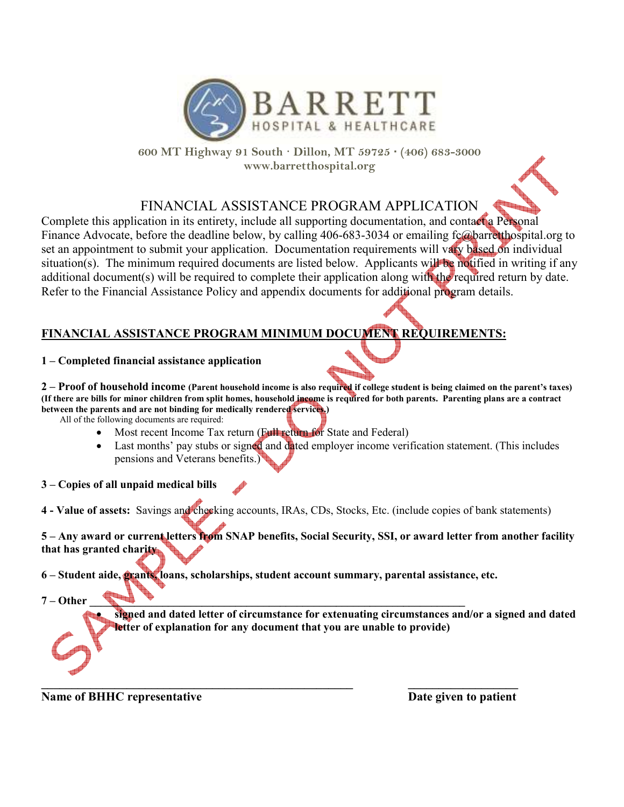

**600 MT Highway 91 South · Dillon, MT 59725 · (406) 683-3000 www.barretthospital.org**

## FINANCIAL ASSISTANCE PROGRAM APPLICATION

Complete this application in its entirety, include all supporting documentation, and contact a Personal Finance Advocate, before the deadline below, by calling 406-683-3034 or emailing fc@barretthospital.org to set an appointment to submit your application. Documentation requirements will vary based on individual situation(s). The minimum required documents are listed below. Applicants will be notified in writing if any additional document(s) will be required to complete their application along with the required return by date. Refer to the Financial Assistance Policy and appendix documents for additional program details.

## **FINANCIAL ASSISTANCE PROGRAM MINIMUM DOCUMENT REQUIREMENTS:**

#### **1 – Completed financial assistance application**

**2 – Proof of household income (Parent household income is also required if college student is being claimed on the parent's taxes) (If there are bills for minor children from split homes, household income is required for both parents. Parenting plans are a contract between the parents and are not binding for medically rendered services.)**

All of the following documents are required:

- Most recent Income Tax return (Full return for State and Federal)
- Last months' pay stubs or signed and dated employer income verification statement. (This includes pensions and Veterans benefits.)
- **3 Copies of all unpaid medical bills**
- **4 Value of assets:** Savings and checking accounts, IRAs, CDs, Stocks, Etc. (include copies of bank statements)

**5 – Any award or current letters from SNAP benefits, Social Security, SSI, or award letter from another facility that has granted charity** 

**6 – Student aide, grants, loans, scholarships, student account summary, parental assistance, etc.** 

**\_\_\_\_\_\_\_\_\_\_\_\_\_\_\_\_\_\_\_\_\_\_\_\_\_\_\_\_\_\_\_\_\_\_\_\_\_\_\_\_\_\_\_\_\_\_\_\_\_\_\_ \_\_\_\_\_\_\_\_\_\_\_\_\_\_\_\_\_\_** 

**7** – Other **Letter and Contain the Contain of the Contain of the Contain of the Contain of the Contain of the Contain of the Contain of the Contain of the Contain of the Contain of the Contain of the Contain of the Contai** 

• **signed and dated letter of circumstance for extenuating circumstances and/or a signed and dated letter of explanation for any document that you are unable to provide)** 

**Name of BHHC representative Let us a set of the set of Patient Constanting Date given to patient**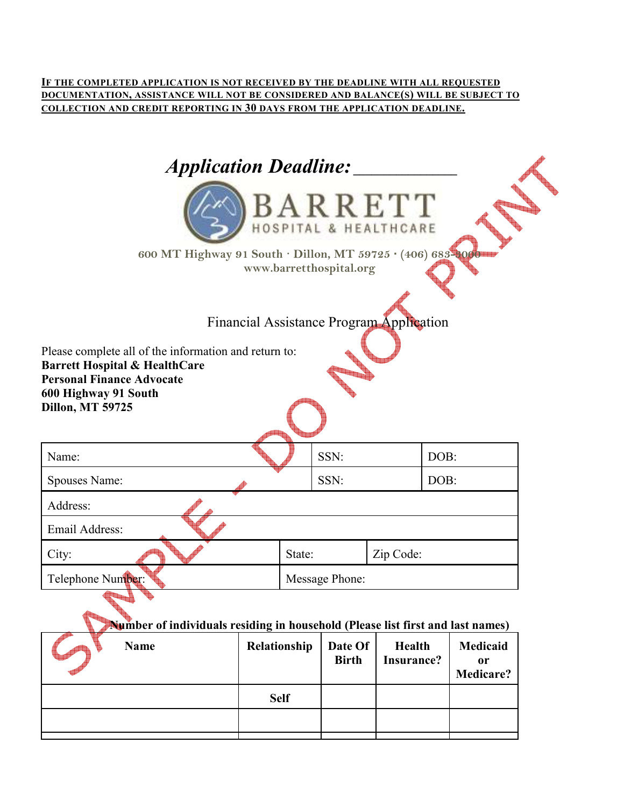**IF THE COMPLETED APPLICATION IS NOT RECEIVED BY THE DEADLINE WITH ALL REQUESTED DOCUMENTATION, ASSISTANCE WILL NOT BE CONSIDERED AND BALANCE(S) WILL BE SUBJECT TO COLLECTION AND CREDIT REPORTING IN 30 DAYS FROM THE APPLICATION DEADLINE.** 

| <b>Application Deadline:</b><br>600 MT Highway 91 South · Dillon, MT 59725 · (406) 683-0000                                                                                                                                          | BARRETT<br>www.barretthospital.org |           |      |  |
|--------------------------------------------------------------------------------------------------------------------------------------------------------------------------------------------------------------------------------------|------------------------------------|-----------|------|--|
| Financial Assistance Program Application<br>Please complete all of the information and return to:<br><b>Barrett Hospital &amp; HealthCare</b><br><b>Personal Finance Advocate</b><br>600 Highway 91 South<br><b>Dillon, MT 59725</b> |                                    |           |      |  |
| Name:                                                                                                                                                                                                                                | SSN:                               |           | DOB: |  |
| Spouses Name:                                                                                                                                                                                                                        | SSN:                               |           | DOB: |  |
| Address:                                                                                                                                                                                                                             |                                    |           |      |  |
| Email Address:                                                                                                                                                                                                                       |                                    |           |      |  |
| City:                                                                                                                                                                                                                                | State:                             | Zip Code: |      |  |
| Telephone Number:                                                                                                                                                                                                                    | Message Phone:                     |           |      |  |

## **Number of individuals residing in household (Please list first and last names)**

|  | <b>Name</b> | Relationship | Date Of<br><b>Birth</b> | Health<br>Insurance? | Medicaid<br>0r<br>Medicare? |
|--|-------------|--------------|-------------------------|----------------------|-----------------------------|
|  |             | <b>Self</b>  |                         |                      |                             |
|  |             |              |                         |                      |                             |
|  |             |              |                         |                      |                             |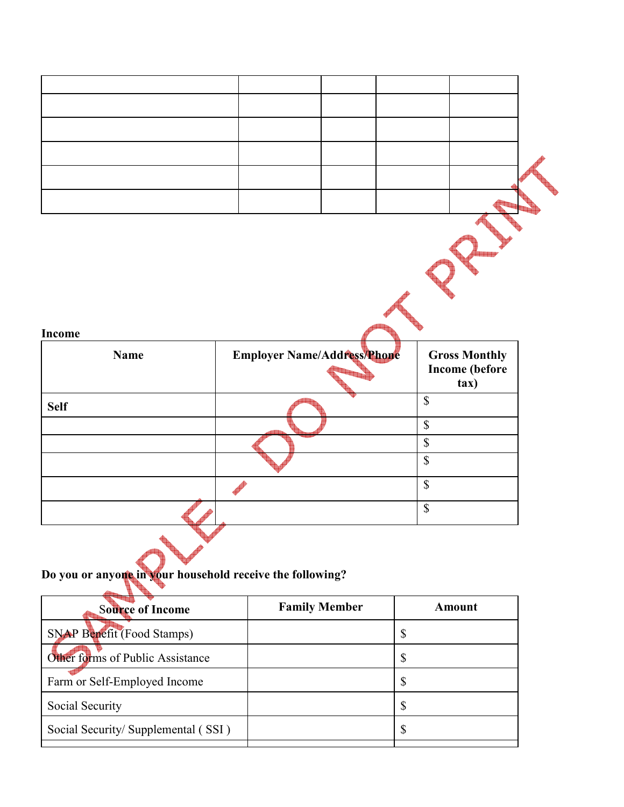| <b>Name</b>           | <b>Employer Name/Address/Phone</b> | <b>Gross Monthly</b><br><b>Income</b> (before<br>tax) |  |
|-----------------------|------------------------------------|-------------------------------------------------------|--|
|                       |                                    | $\overline{\mathcal{S}}$                              |  |
|                       |                                    | $\overline{\mathcal{S}}$                              |  |
|                       |                                    | $\sqrt{\ }$                                           |  |
|                       |                                    | $\mathbb S$                                           |  |
| Income<br><b>Self</b> |                                    | $\overline{\mathcal{S}}$                              |  |

**Do you or anyone in your household receive the following?** 

ŧ

| <b>Source of Income</b>             | <b>Family Member</b> | Amount       |
|-------------------------------------|----------------------|--------------|
| <b>SNAP Benefit (Food Stamps)</b>   |                      | \$           |
| Other forms of Public Assistance    |                      | \$           |
| Farm or Self-Employed Income        |                      | \$           |
| Social Security                     |                      | $\mathbb{S}$ |
| Social Security/ Supplemental (SSI) |                      | \$           |
|                                     |                      |              |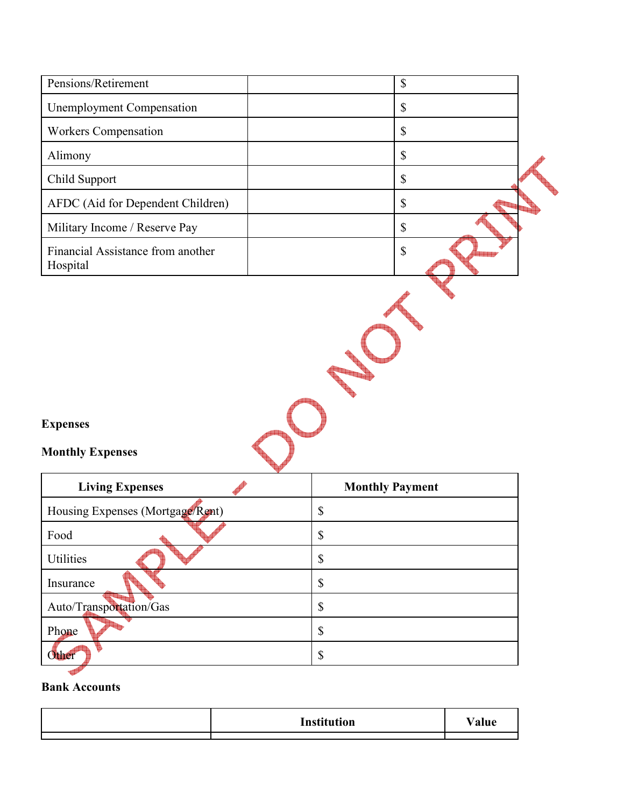| Pensions/Retirement                           | $\boldsymbol{\$}$         |
|-----------------------------------------------|---------------------------|
| <b>Unemployment Compensation</b>              | $\boldsymbol{\mathsf{S}}$ |
| Workers Compensation                          | $\boldsymbol{\mathsf{S}}$ |
| Alimony                                       | $\boldsymbol{\mathsf{S}}$ |
| Child Support                                 | $\boldsymbol{\mathsf{S}}$ |
| AFDC (Aid for Dependent Children)             | $\boldsymbol{\$}$         |
| Military Income / Reserve Pay                 | $\boldsymbol{\mathsf{S}}$ |
| Financial Assistance from another<br>Hospital | $\boldsymbol{\mathsf{S}}$ |
|                                               |                           |
| <b>Expenses</b><br><b>Monthly Expenses</b>    |                           |
| <b>Living Expenses</b>                        | <b>Monthly Payment</b>    |
| Housing Expenses (Mortgage/Rent)              | \$                        |
| Food                                          | \$                        |
| Utilities                                     | $\mathbb S$               |
| Insurance                                     | $\boldsymbol{\mathbb{S}}$ |
| Auto/Transportation/Gas                       | $\boldsymbol{\mathbb{S}}$ |
| Phone                                         | $\mathbb S$               |

## **Bank Accounts**

| <b>Institution</b> | 'alue |
|--------------------|-------|
|                    |       |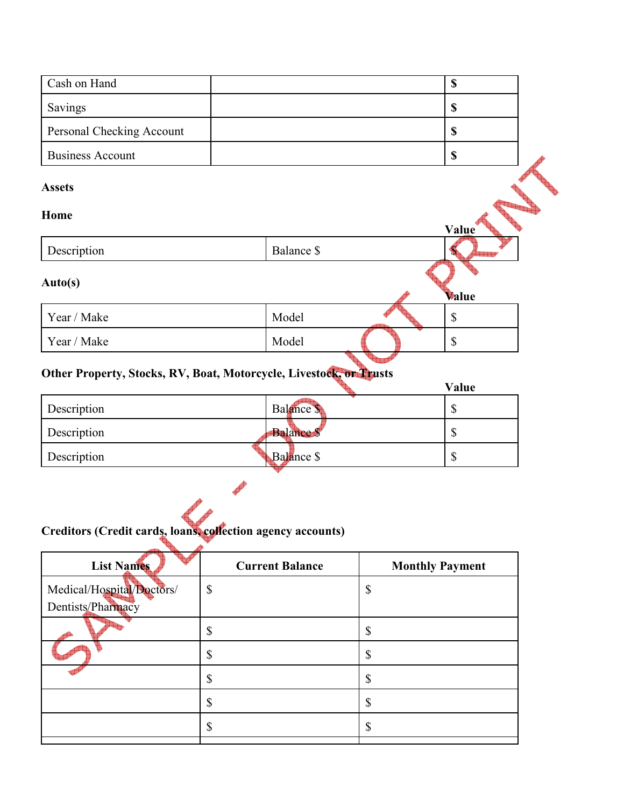| Cash on Hand              |            | $\boldsymbol{\mathsf{S}}$ |
|---------------------------|------------|---------------------------|
| Savings                   |            | $\boldsymbol{\$}$         |
| Personal Checking Account |            | \$                        |
| <b>Business Account</b>   |            | $\boldsymbol{\$}$         |
| <b>Assets</b><br>Home     |            | Value                     |
| Description               | Balance \$ |                           |
| Auto(s)                   |            | Value                     |
| Year / Make               | Model      | \$                        |
| Year / Make               | Model      | $\mathbb{S}$              |

# **Other Property, Stocks, RV, Boat, Motorcycle, Livestock, or Trusts**

|                                                             |                  | Value  |
|-------------------------------------------------------------|------------------|--------|
| Description                                                 | Balance \$       | \$     |
| Description                                                 | <b>Balance S</b> | ¢<br>D |
| Description                                                 | Balance \$       | ¢<br>Φ |
|                                                             |                  |        |
| Creditors (Credit cards, Joans, collection agency accounts) |                  |        |

# **Creditors (Credit cards, loans, collection agency accounts)**

| <b>List Names</b>         | <b>Current Balance</b> | <b>Monthly Payment</b> |
|---------------------------|------------------------|------------------------|
| Medical/Hospital/Doctors/ | \$                     | \$                     |
| Dentists/Pharmacy         |                        |                        |
|                           | \$                     | \$                     |
|                           | \$                     | \$                     |
|                           | \$                     | \$                     |
|                           | \$                     | \$                     |
|                           | \$                     | Φ                      |
|                           |                        |                        |